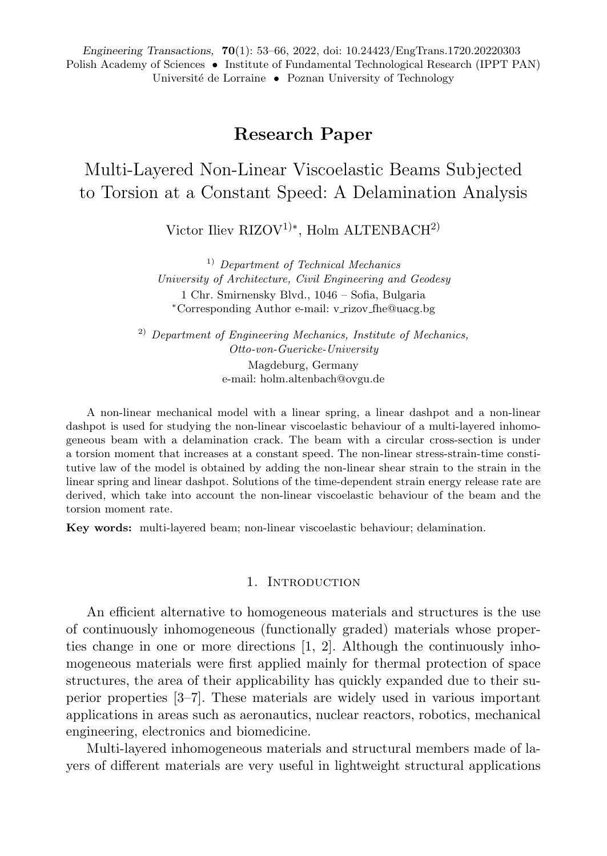*Engineering Transactions,* **70**(1): 53–66, 2022, doi: 10.24423/EngTrans.1720.20220303 Polish Academy of Sciences • Institute of Fundamental Technological Research (IPPT PAN) Université de Lorraine • Poznan University of Technology

# **Research Paper**

Multi-Layered Non-Linear Viscoelastic Beams Subjected to Torsion at a Constant Speed: A Delamination Analysis

Victor Iliev RIZOV<sup>1)∗</sup>, Holm ALTENBACH<sup>2)</sup>

1) *Department of Technical Mechanics University of Architecture, Civil Engineering and Geodesy* 1 Chr. Smirnensky Blvd., 1046 – Sofia, Bulgaria <sup>∗</sup>Corresponding Author e-mail: v rizov fhe@uacg.bg

2) *Department of Engineering Mechanics, Institute of Mechanics, Otto-von-Guericke-University* Magdeburg, Germany e-mail: holm.altenbach@ovgu.de

A non-linear mechanical model with a linear spring, a linear dashpot and a non-linear dashpot is used for studying the non-linear viscoelastic behaviour of a multi-layered inhomogeneous beam with a delamination crack. The beam with a circular cross-section is under a torsion moment that increases at a constant speed. The non-linear stress-strain-time constitutive law of the model is obtained by adding the non-linear shear strain to the strain in the linear spring and linear dashpot. Solutions of the time-dependent strain energy release rate are derived, which take into account the non-linear viscoelastic behaviour of the beam and the torsion moment rate.

**Key words:** multi-layered beam; non-linear viscoelastic behaviour; delamination.

### 1. INTRODUCTION

An efficient alternative to homogeneous materials and structures is the use of continuously inhomogeneous (functionally graded) materials whose properties change in one or more directions [1, 2]. Although the continuously inhomogeneous materials were first applied mainly for thermal protection of space structures, the area of their applicability has quickly expanded due to their superior properties [3–7]. These materials are widely used in various important applications in areas such as aeronautics, nuclear reactors, robotics, mechanical engineering, electronics and biomedicine.

Multi-layered inhomogeneous materials and structural members made of layers of different materials are very useful in lightweight structural applications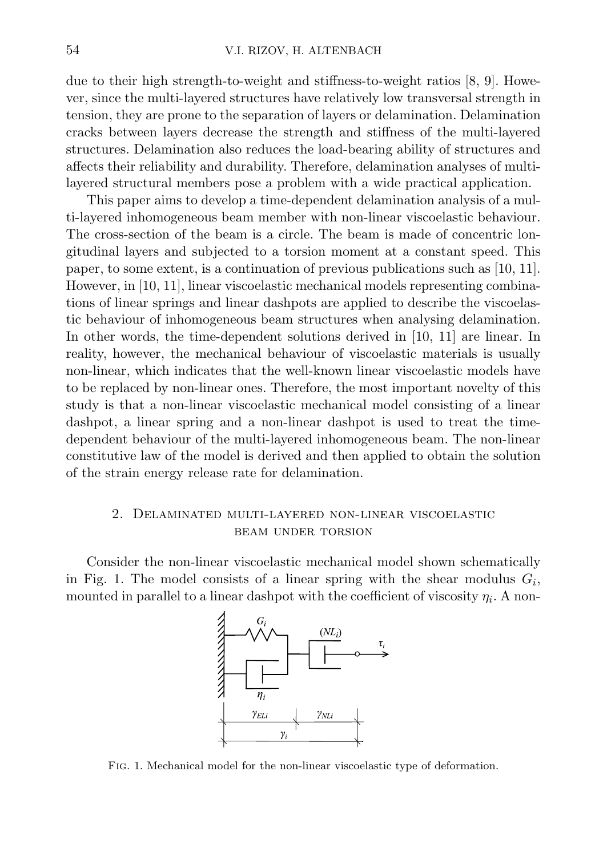due to their high strength-to-weight and stiffness-to-weight ratios [8, 9]. However, since the multi-layered structures have relatively low transversal strength in tension, they are prone to the separation of layers or delamination. Delamination cracks between layers decrease the strength and stiffness of the multi-layered structures. Delamination also reduces the load-bearing ability of structures and affects their reliability and durability. Therefore, delamination analyses of multilayered structural members pose a problem with a wide practical application.

This paper aims to develop a time-dependent delamination analysis of a multi-layered inhomogeneous beam member with non-linear viscoelastic behaviour. The cross-section of the beam is a circle. The beam is made of concentric longitudinal layers and subjected to a torsion moment at a constant speed. This paper, to some extent, is a continuation of previous publications such as [10, 11]. However, in [10, 11], linear viscoelastic mechanical models representing combinations of linear springs and linear dashpots are applied to describe the viscoelastic behaviour of inhomogeneous beam structures when analysing delamination. In other words, the time-dependent solutions derived in [10, 11] are linear. In reality, however, the mechanical behaviour of viscoelastic materials is usually non-linear, which indicates that the well-known linear viscoelastic models have to be replaced by non-linear ones. Therefore, the most important novelty of this study is that a non-linear viscoelastic mechanical model consisting of a linear dashpot, a linear spring and a non-linear dashpot is used to treat the timedependent behaviour of the multi-layered inhomogeneous beam. The non-linear constitutive law of the model is derived and then applied to obtain the solution of the strain energy release rate for delamination.

# 2. Delaminated multi-layered non-linear viscoelastic beam under torsion

Consider the non-linear viscoelastic mechanical model shown schematically in Fig. 1. The model consists of a linear spring with the shear modulus  $G_i$ , mounted in parallel to a linear dashpot with the coefficient of viscosity  $\eta_i$ . A non-



Fig. 1. Mechanical model for the non-linear viscoelastic type of deformation.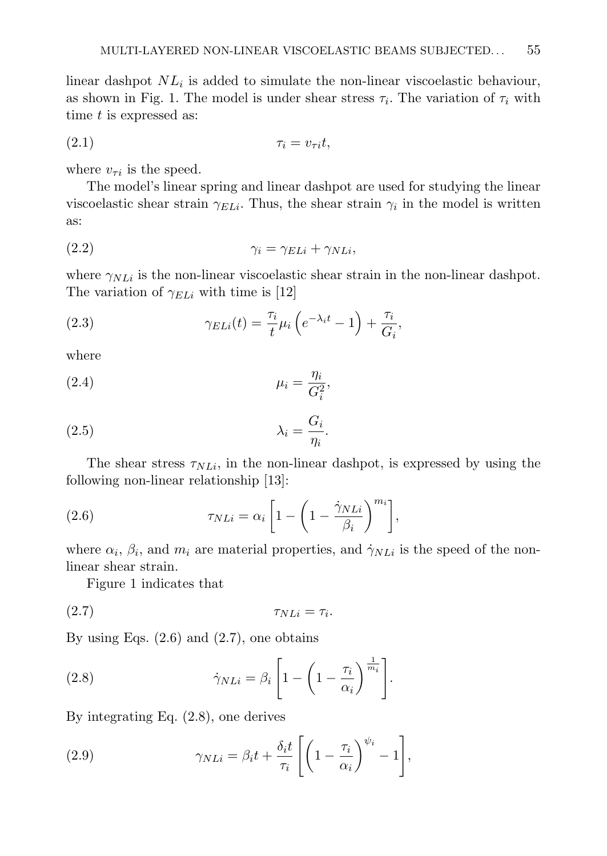linear dashpot  $NL_i$  is added to simulate the non-linear viscoelastic behaviour, as shown in Fig. 1. The model is under shear stress  $\tau_i$ . The variation of  $\tau_i$  with time  $t$  is expressed as:

(2.1) τ<sup>i</sup> = vτ it,

where  $v_{\tau i}$  is the speed.

The model's linear spring and linear dashpot are used for studying the linear viscoelastic shear strain  $\gamma_{ELi}$ . Thus, the shear strain  $\gamma_i$  in the model is written as:

$$
\gamma_i = \gamma_{ELi} + \gamma_{NLi},
$$

where  $\gamma_{NLi}$  is the non-linear viscoelastic shear strain in the non-linear dashpot. The variation of  $\gamma_{ELi}$  with time is [12]

(2.3) 
$$
\gamma_{ELi}(t) = \frac{\tau_i}{t} \mu_i \left( e^{-\lambda_i t} - 1 \right) + \frac{\tau_i}{G_i},
$$

where

$$
\mu_i = \frac{\eta_i}{G_i^2},
$$

$$
\lambda_i = \frac{G_i}{\eta_i}.
$$

The shear stress  $\tau_{NLi}$ , in the non-linear dashpot, is expressed by using the following non-linear relationship [13]:

(2.6) 
$$
\tau_{NLi} = \alpha_i \left[ 1 - \left( 1 - \frac{\dot{\gamma}_{NLi}}{\beta_i} \right)^{m_i} \right],
$$

where  $\alpha_i$ ,  $\beta_i$ , and  $m_i$  are material properties, and  $\dot{\gamma}_{NLi}$  is the speed of the nonlinear shear strain.

Figure 1 indicates that

$$
\tau_{NLi} = \tau_i.
$$

By using Eqs.  $(2.6)$  and  $(2.7)$ , one obtains

(2.8) 
$$
\dot{\gamma}_{NLi} = \beta_i \left[ 1 - \left( 1 - \frac{\tau_i}{\alpha_i} \right)^{\frac{1}{m_i}} \right].
$$

By integrating Eq. (2.8), one derives

(2.9) 
$$
\gamma_{NLi} = \beta_i t + \frac{\delta_i t}{\tau_i} \left[ \left( 1 - \frac{\tau_i}{\alpha_i} \right)^{\psi_i} - 1 \right],
$$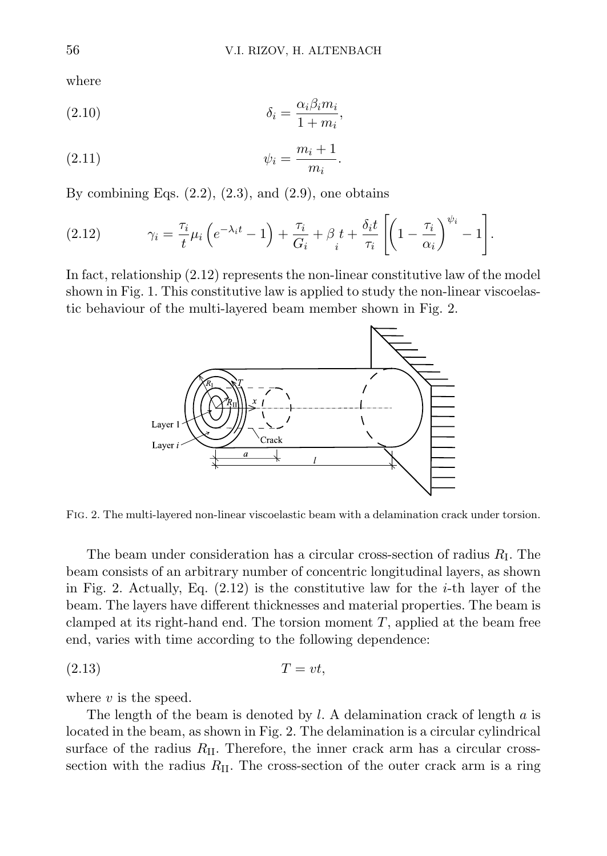where

(2.10) 
$$
\delta_i = \frac{\alpha_i \beta_i m_i}{1 + m_i},
$$

$$
\psi_i = \frac{m_i + 1}{m_i}.
$$

By combining Eqs.  $(2.2)$ ,  $(2.3)$ , and  $(2.9)$ , one obtains

(2.12) 
$$
\gamma_i = \frac{\tau_i}{t} \mu_i \left( e^{-\lambda_i t} - 1 \right) + \frac{\tau_i}{G_i} + \beta_t t + \frac{\delta_i t}{\tau_i} \left[ \left( 1 - \frac{\tau_i}{\alpha_i} \right)^{\psi_i} - 1 \right].
$$

In fact, relationship  $(2.12)$  represents the non-linear constitutive law of the model shown in Fig. 1. This constitutive law is applied to study the non-linear viscoelastic behaviour of the multi-layered beam member shown in Fig. 2.



Fig. 2. The multi-layered non-linear viscoelastic beam with a delamination crack under torsion.

The beam under consideration has a circular cross-section of radius  $R<sub>I</sub>$ . The beam consists of an arbitrary number of concentric longitudinal layers, as shown in Fig. 2. Actually, Eq.  $(2.12)$  is the constitutive law for the *i*-th layer of the beam. The layers have different thicknesses and material properties. The beam is clamped at its right-hand end. The torsion moment  $T$ , applied at the beam free end, varies with time according to the following dependence:

$$
(2.13) \t\t T = vt,
$$

where  $v$  is the speed.

The length of the beam is denoted by  $l$ . A delamination crack of length  $a$  is located in the beam, as shown in Fig. 2. The delamination is a circular cylindrical surface of the radius  $R_{II}$ . Therefore, the inner crack arm has a circular crosssection with the radius  $R_{\text{II}}$ . The cross-section of the outer crack arm is a ring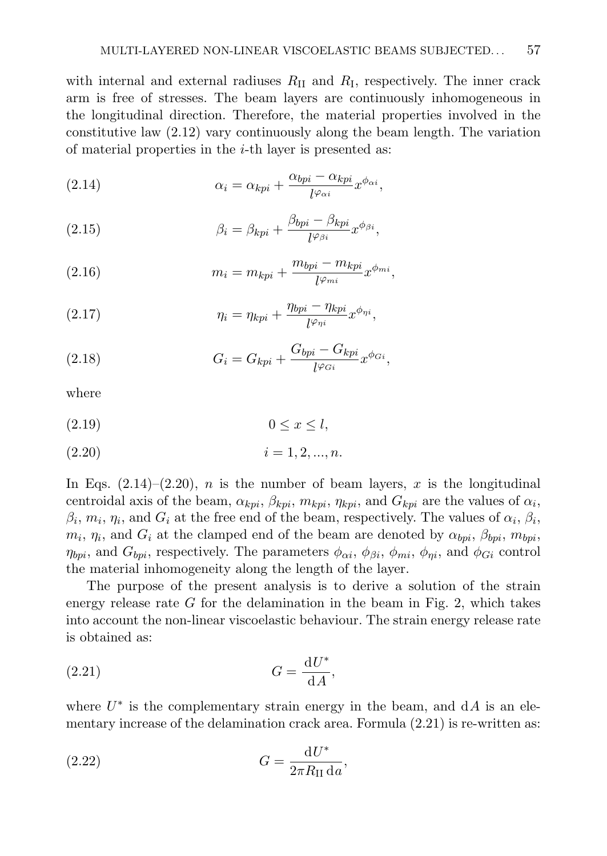with internal and external radiuses  $R_{\text{II}}$  and  $R_{\text{I}}$ , respectively. The inner crack arm is free of stresses. The beam layers are continuously inhomogeneous in the longitudinal direction. Therefore, the material properties involved in the constitutive law (2.12) vary continuously along the beam length. The variation of material properties in the  $i$ -th layer is presented as:

(2.14) 
$$
\alpha_i = \alpha_{kpi} + \frac{\alpha_{bpi} - \alpha_{kpi}}{l^{\varphi_{\alpha i}}} x^{\phi_{\alpha i}},
$$

(2.15) 
$$
\beta_i = \beta_{kpi} + \frac{\beta_{bpi} - \beta_{kpi}}{l^{\varphi_{\beta i}}} x^{\phi_{\beta i}},
$$

(2.16) 
$$
m_i = m_{kpi} + \frac{m_{bpi} - m_{kpi}}{l^{\varphi_{mi}}} x^{\varphi_{mi}},
$$

(2.17) 
$$
\eta_i = \eta_{kpi} + \frac{\eta_{bpi} - \eta_{kpi}}{l^{\varphi_{\eta i}}} x^{\phi_{\eta i}},
$$

(2.18) 
$$
G_i = G_{kpi} + \frac{G_{bpi} - G_{kpi}}{l^{\varphi_{Gi}}} x^{\phi_{Gi}},
$$

where

$$
(2.19) \t\t 0 \le x \le l,
$$

$$
(2.20) \t\t i = 1, 2, ..., n.
$$

In Eqs.  $(2.14)$ – $(2.20)$ , *n* is the number of beam layers, *x* is the longitudinal centroidal axis of the beam,  $\alpha_{kpi}$ ,  $\beta_{kpi}$ ,  $m_{kpi}$ ,  $\eta_{kpi}$ , and  $G_{kpi}$  are the values of  $\alpha_i$ ,  $\beta_i$ ,  $m_i$ ,  $\eta_i$ , and  $G_i$  at the free end of the beam, respectively. The values of  $\alpha_i$ ,  $\beta_i$ ,  $m_i$ ,  $\eta_i$ , and  $G_i$  at the clamped end of the beam are denoted by  $\alpha_{bpi}$ ,  $\beta_{bpi}$ ,  $m_{bpi}$ ,  $\eta_{bpi}$ , and  $G_{bpi}$ , respectively. The parameters  $\phi_{\alpha i}$ ,  $\phi_{\beta i}$ ,  $\phi_{mi}$ ,  $\phi_{\eta i}$ , and  $\phi_{Gi}$  control the material inhomogeneity along the length of the layer.

The purpose of the present analysis is to derive a solution of the strain energy release rate  $G$  for the delamination in the beam in Fig. 2, which takes into account the non-linear viscoelastic behaviour. The strain energy release rate is obtained as:

$$
(2.21)\t\t\t G = \frac{\mathrm{d}U^*}{\mathrm{d}A},
$$

where  $U^*$  is the complementary strain energy in the beam, and  $dA$  is an elementary increase of the delamination crack area. Formula (2.21) is re-written as:

$$
(2.22)\qquad \qquad G = \frac{\mathrm{d}U^*}{2\pi R_\mathrm{II}\,\mathrm{d}a},
$$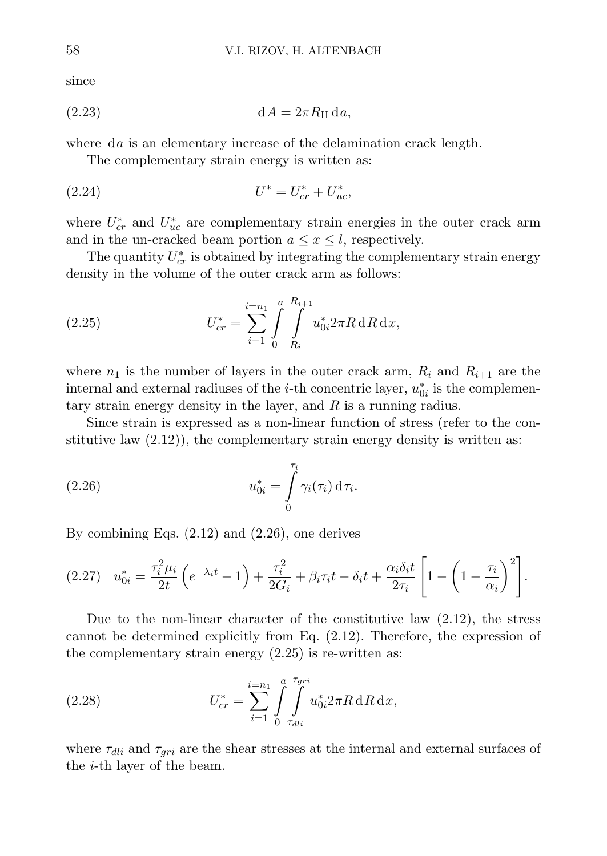since

$$
(2.23) \t\t dA = 2\pi R_{II} da,
$$

where da is an elementary increase of the delamination crack length.

The complementary strain energy is written as:

(2.24) 
$$
U^* = U_{cr}^* + U_{uc}^*.
$$

where  $U_{cr}^*$  and  $U_{uc}^*$  are complementary strain energies in the outer crack arm and in the un-cracked beam portion  $a \leq x \leq l$ , respectively.

The quantity  $U_{cr}^*$  is obtained by integrating the complementary strain energy density in the volume of the outer crack arm as follows:

(2.25) 
$$
U_{cr}^* = \sum_{i=1}^{i=n_1} \int\limits_{0}^{a} \int\limits_{R_i}^{R_{i+1}} u_{0i}^* 2\pi R \, dR \, dx,
$$

where  $n_1$  is the number of layers in the outer crack arm,  $R_i$  and  $R_{i+1}$  are the internal and external radiuses of the *i*-th concentric layer,  $u_{0i}^*$  is the complementary strain energy density in the layer, and R is a running radius.

Since strain is expressed as a non-linear function of stress (refer to the constitutive law  $(2.12)$ , the complementary strain energy density is written as:

(2.26) 
$$
u_{0i}^* = \int_{0}^{\tau_i} \gamma_i(\tau_i) d\tau_i.
$$

By combining Eqs. (2.12) and (2.26), one derives

$$
(2.27) \quad u_{0i}^* = \frac{\tau_i^2 \mu_i}{2t} \left( e^{-\lambda_i t} - 1 \right) + \frac{\tau_i^2}{2G_i} + \beta_i \tau_i t - \delta_i t + \frac{\alpha_i \delta_i t}{2\tau_i} \left[ 1 - \left( 1 - \frac{\tau_i}{\alpha_i} \right)^2 \right].
$$

Due to the non-linear character of the constitutive law (2.12), the stress cannot be determined explicitly from Eq. (2.12). Therefore, the expression of the complementary strain energy  $(2.25)$  is re-written as:

(2.28) 
$$
U_{cr}^* = \sum_{i=1}^{i=n_1} \int\limits_{0}^{a} \int\limits_{\tau_{dli}}^{\tau_{gri}} u_{0i}^* 2\pi R \,dR \,dx,
$$

where  $\tau_{dli}$  and  $\tau_{qri}$  are the shear stresses at the internal and external surfaces of the i-th layer of the beam.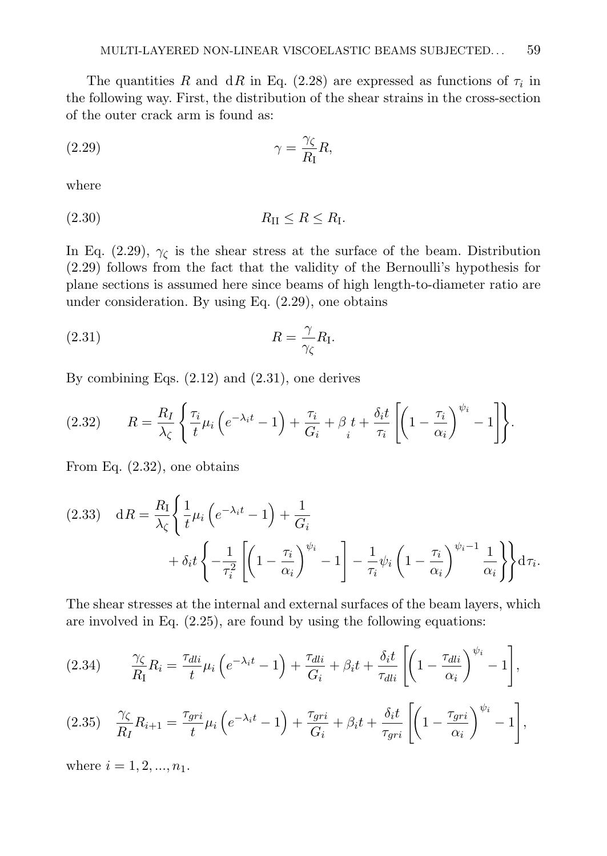The quantities R and dR in Eq. (2.28) are expressed as functions of  $\tau_i$  in the following way. First, the distribution of the shear strains in the cross-section of the outer crack arm is found as:

$$
\gamma = \frac{\gamma_{\zeta}}{R_{\rm I}} R,
$$

where

$$
(2.30) \t\t R_{\text{II}} \le R \le R_{\text{I}}.
$$

In Eq. (2.29),  $\gamma_c$  is the shear stress at the surface of the beam. Distribution (2.29) follows from the fact that the validity of the Bernoulli's hypothesis for plane sections is assumed here since beams of high length-to-diameter ratio are under consideration. By using Eq. (2.29), one obtains

$$
(2.31) \t\t R = \frac{\gamma}{\gamma_{\zeta}} R_{\mathrm{I}}.
$$

By combining Eqs. (2.12) and (2.31), one derives

$$
(2.32) \qquad R = \frac{R_I}{\lambda_{\zeta}} \left\{ \frac{\tau_i}{t} \mu_i \left( e^{-\lambda_i t} - 1 \right) + \frac{\tau_i}{G_i} + \beta_i t + \frac{\delta_i t}{\tau_i} \left[ \left( 1 - \frac{\tau_i}{\alpha_i} \right)^{\psi_i} - 1 \right] \right\}.
$$

From Eq. (2.32), one obtains

(2.33) 
$$
dR = \frac{R_I}{\lambda_{\zeta}} \left\{ \frac{1}{t} \mu_i \left( e^{-\lambda_i t} - 1 \right) + \frac{1}{G_i} + \delta_i t \left\{ -\frac{1}{\tau_i^2} \left[ \left( 1 - \frac{\tau_i}{\alpha_i} \right)^{\psi_i} - 1 \right] - \frac{1}{\tau_i} \psi_i \left( 1 - \frac{\tau_i}{\alpha_i} \right)^{\psi_i - 1} \frac{1}{\alpha_i} \right\} \right\} d\tau_i.
$$

The shear stresses at the internal and external surfaces of the beam layers, which are involved in Eq. (2.25), are found by using the following equations:

$$
(2.34) \qquad \frac{\gamma_{\zeta}}{R_{\rm I}} R_i = \frac{\tau_{dli}}{t} \mu_i \left( e^{-\lambda_i t} - 1 \right) + \frac{\tau_{dli}}{G_i} + \beta_i t + \frac{\delta_i t}{\tau_{dli}} \left[ \left( 1 - \frac{\tau_{dli}}{\alpha_i} \right)^{\psi_i} - 1 \right],
$$
\n
$$
(2.35) \qquad \frac{\gamma_{\zeta}}{R_I} R_{i+1} = \frac{\tau_{gri}}{t} \mu_i \left( e^{-\lambda_i t} - 1 \right) + \frac{\tau_{gri}}{G_i} + \beta_i t + \frac{\delta_i t}{\tau_{gri}} \left[ \left( 1 - \frac{\tau_{gri}}{\alpha_i} \right)^{\psi_i} - 1 \right],
$$

where  $i = 1, 2, ..., n_1$ .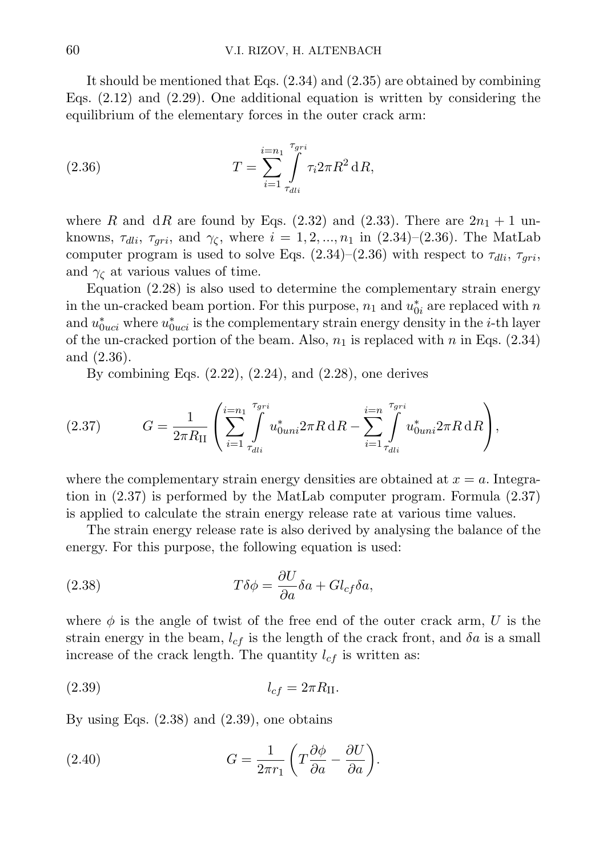It should be mentioned that Eqs. (2.34) and (2.35) are obtained by combining Eqs. (2.12) and (2.29). One additional equation is written by considering the equilibrium of the elementary forces in the outer crack arm:

(2.36) 
$$
T = \sum_{i=1}^{i=n_1} \int_{\tau_{dli}}^{\tau_{gri}} \tau_i 2\pi R^2 dR,
$$

where R and dR are found by Eqs. (2.32) and (2.33). There are  $2n_1 + 1$  unknowns,  $\tau_{dli}$ ,  $\tau_{gri}$ , and  $\gamma_{\zeta}$ , where  $i = 1, 2, ..., n_1$  in (2.34)–(2.36). The MatLab computer program is used to solve Eqs.  $(2.34)-(2.36)$  with respect to  $\tau_{dli}, \tau_{qri}$ , and  $\gamma_c$  at various values of time.

Equation (2.28) is also used to determine the complementary strain energy in the un-cracked beam portion. For this purpose,  $n_1$  and  $u_{0i}^*$  are replaced with  $n$ and  $u_{0uci}^*$  where  $u_{0uci}^*$  is the complementary strain energy density in the *i*-th layer of the un-cracked portion of the beam. Also,  $n_1$  is replaced with n in Eqs. (2.34) and (2.36).

By combining Eqs.  $(2.22)$ ,  $(2.24)$ , and  $(2.28)$ , one derives

(2.37) 
$$
G = \frac{1}{2\pi R_{II}} \left( \sum_{i=1}^{i=n_1} \int_{\tau_{dli}}^{\tau_{gri}} u_{0uni}^* 2\pi R \, dR - \sum_{i=1}^{i=n} \int_{\tau_{dli}}^{\tau_{gri}} u_{0uni}^* 2\pi R \, dR \right),
$$

where the complementary strain energy densities are obtained at  $x = a$ . Integration in (2.37) is performed by the MatLab computer program. Formula (2.37) is applied to calculate the strain energy release rate at various time values.

The strain energy release rate is also derived by analysing the balance of the energy. For this purpose, the following equation is used:

(2.38) 
$$
T\delta\phi = \frac{\partial U}{\partial a}\delta a + Gl_{cf}\delta a,
$$

where  $\phi$  is the angle of twist of the free end of the outer crack arm, U is the strain energy in the beam,  $l_{cf}$  is the length of the crack front, and  $\delta a$  is a small increase of the crack length. The quantity  $l_{cf}$  is written as:

$$
l_{cf} = 2\pi R_{\text{II}}.
$$

By using Eqs.  $(2.38)$  and  $(2.39)$ , one obtains

(2.40) 
$$
G = \frac{1}{2\pi r_1} \left( T \frac{\partial \phi}{\partial a} - \frac{\partial U}{\partial a} \right).
$$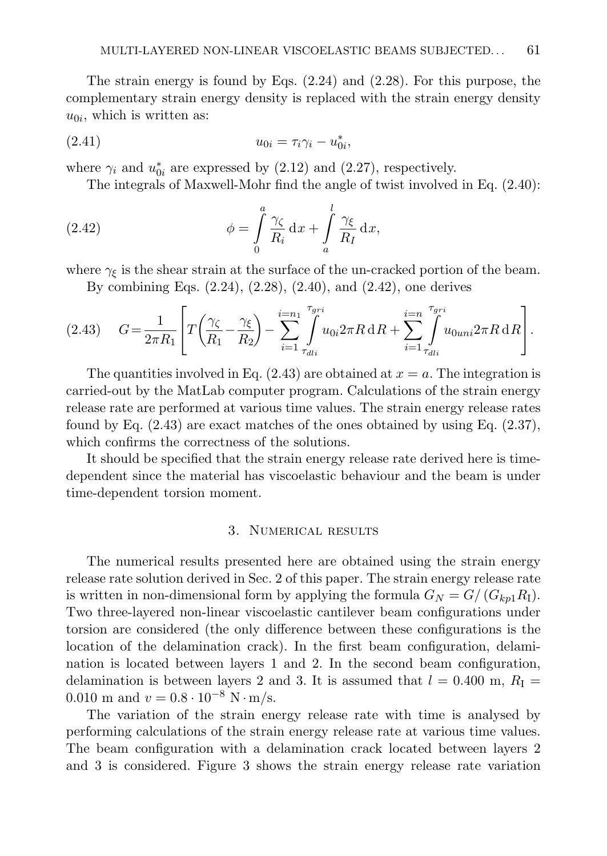The strain energy is found by Eqs. (2.24) and (2.28). For this purpose, the complementary strain energy density is replaced with the strain energy density  $u_{0i}$ , which is written as:

(2.41) 
$$
u_{0i} = \tau_i \gamma_i - u_{0i}^*,
$$

where  $\gamma_i$  and  $u_{0i}^*$  are expressed by (2.12) and (2.27), respectively.

The integrals of Maxwell-Mohr find the angle of twist involved in Eq. (2.40):

(2.42) 
$$
\phi = \int_{0}^{a} \frac{\gamma_{\zeta}}{R_i} dx + \int_{a}^{l} \frac{\gamma_{\xi}}{R_I} dx,
$$

where  $\gamma_{\xi}$  is the shear strain at the surface of the un-cracked portion of the beam.

By combining Eqs. (2.24), (2.28), (2.40), and (2.42), one derives

$$
(2.43) \tG = \frac{1}{2\pi R_1} \left[ T \left( \frac{\gamma_{\zeta}}{R_1} - \frac{\gamma_{\xi}}{R_2} \right) - \sum_{i=1}^{i=n_1} \int_{\tau_{dli}}^{\tau_{gri}} u_{0i} 2\pi R \, dR + \sum_{i=1}^{i=n} \int_{\tau_{dli}}^{\tau_{gri}} u_{0uni} 2\pi R \, dR \right].
$$

The quantities involved in Eq.  $(2.43)$  are obtained at  $x = a$ . The integration is carried-out by the MatLab computer program. Calculations of the strain energy release rate are performed at various time values. The strain energy release rates found by Eq. (2.43) are exact matches of the ones obtained by using Eq. (2.37), which confirms the correctness of the solutions.

It should be specified that the strain energy release rate derived here is timedependent since the material has viscoelastic behaviour and the beam is under time-dependent torsion moment.

## 3. Numerical results

The numerical results presented here are obtained using the strain energy release rate solution derived in Sec. 2 of this paper. The strain energy release rate is written in non-dimensional form by applying the formula  $G_N = G/(G_{kpl}R_I)$ . Two three-layered non-linear viscoelastic cantilever beam configurations under torsion are considered (the only difference between these configurations is the location of the delamination crack). In the first beam configuration, delamination is located between layers 1 and 2. In the second beam configuration, delamination is between layers 2 and 3. It is assumed that  $l = 0.400$  m,  $R_{\rm I} =$ 0.010 m and  $v = 0.8 \cdot 10^{-8}$  N · m/s.

The variation of the strain energy release rate with time is analysed by performing calculations of the strain energy release rate at various time values. The beam configuration with a delamination crack located between layers 2 and 3 is considered. Figure 3 shows the strain energy release rate variation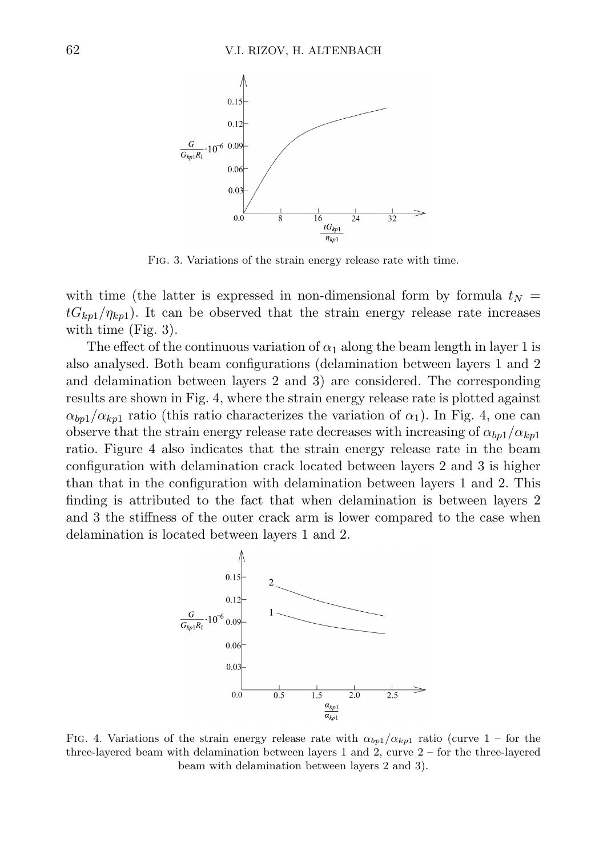

Fig. 3. Variations of the strain energy release rate with time.

with time (the latter is expressed in non-dimensional form by formula  $t_N =$  $tG_{kpl}/\eta_{kpl}$ ). It can be observed that the strain energy release rate increases with time (Fig. 3).

The effect of the continuous variation of  $\alpha_1$  along the beam length in layer 1 is also analysed. Both beam configurations (delamination between layers 1 and 2 and delamination between layers 2 and 3) are considered. The corresponding results are shown in Fig. 4, where the strain energy release rate is plotted against  $\alpha_{bp1}/\alpha_{kp1}$  ratio (this ratio characterizes the variation of  $\alpha_1$ ). In Fig. 4, one can observe that the strain energy release rate decreases with increasing of  $\alpha_{bp1}/\alpha_{kp1}$ ratio. Figure 4 also indicates that the strain energy release rate in the beam configuration with delamination crack located between layers 2 and 3 is higher than that in the configuration with delamination between layers 1 and 2. This finding is attributed to the fact that when delamination is between layers 2 and 3 the stiffness of the outer crack arm is lower compared to the case when delamination is located between layers 1 and 2.



FIG. 4. Variations of the strain energy release rate with  $\alpha_{bp1}/\alpha_{kp1}$  ratio (curve 1 – for the three-layered beam with delamination between layers 1 and 2, curve 2 – for the three-layered beam with delamination between layers 2 and 3).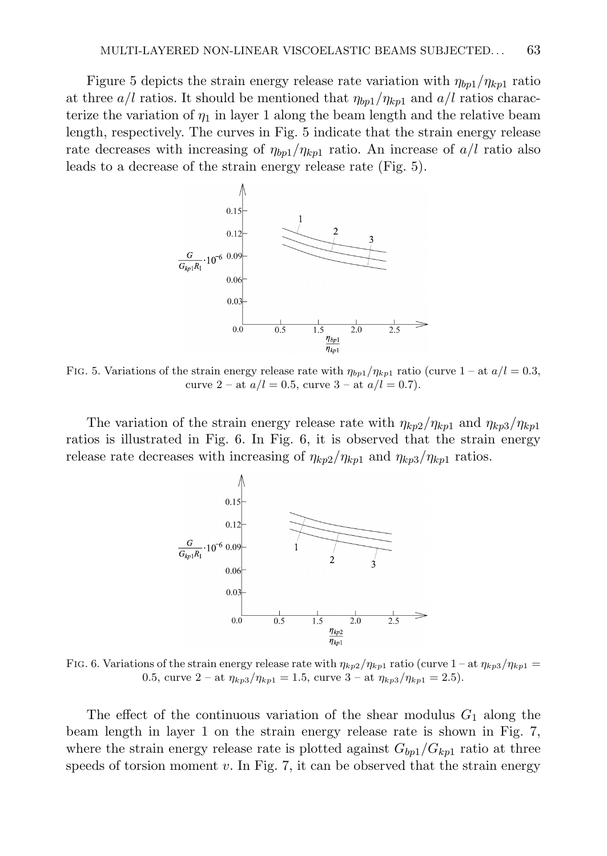Figure 5 depicts the strain energy release rate variation with  $\eta_{bp1}/\eta_{kp1}$  ratio at three  $a/l$  ratios. It should be mentioned that  $\eta_{bp1}/\eta_{kp1}$  and  $a/l$  ratios characterize the variation of  $\eta_1$  in layer 1 along the beam length and the relative beam length, respectively. The curves in Fig. 5 indicate that the strain energy release rate decreases with increasing of  $\eta_{bn}/\eta_{kn}$  ratio. An increase of  $a/l$  ratio also leads to a decrease of the strain energy release rate (Fig. 5).



FIG. 5. Variations of the strain energy release rate with  $\eta_{bp1}/\eta_{kp1}$  ratio (curve 1 – at  $a/l = 0.3$ , curve 2 – at  $a/l = 0.5$ , curve 3 – at  $a/l = 0.7$ ).

The variation of the strain energy release rate with  $\eta_{k02}/\eta_{k01}$  and  $\eta_{k03}/\eta_{k01}$ ratios is illustrated in Fig. 6. In Fig. 6, it is observed that the strain energy release rate decreases with increasing of  $\eta_{kp2}/\eta_{kp1}$  and  $\eta_{kp3}/\eta_{kp1}$  ratios.



FIG. 6. Variations of the strain energy release rate with  $\eta_{kp2}/\eta_{kp1}$  ratio (curve  $1 - at \eta_{kp3}/\eta_{kp1} =$ 0.5, curve  $2 - at \eta_{kp3}/\eta_{kp1} = 1.5$ , curve  $3 - at \eta_{kp3}/\eta_{kp1} = 2.5$ .

The effect of the continuous variation of the shear modulus  $G_1$  along the beam length in layer 1 on the strain energy release rate is shown in Fig. 7, where the strain energy release rate is plotted against  $G_{bp1}/G_{kp1}$  ratio at three speeds of torsion moment v. In Fig. 7, it can be observed that the strain energy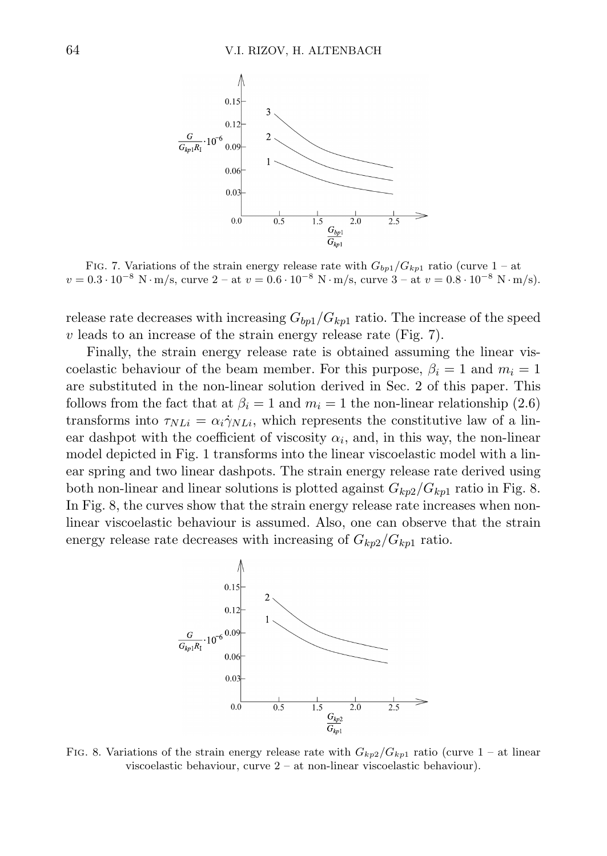

FIG. 7. Variations of the strain energy release rate with  $G_{bp1}/G_{kp1}$  ratio (curve 1 – at  $v = 0.3 \cdot 10^{-8} \text{ N} \cdot \text{m/s}$ , curve  $2 - \text{at } v = 0.6 \cdot 10^{-8} \text{ N} \cdot \text{m/s}$ , curve  $3 - \text{at } v = 0.8 \cdot 10^{-8} \text{ N} \cdot \text{m/s}$ .

release rate decreases with increasing  $G_{bp1}/G_{kp1}$  ratio. The increase of the speed  $v$  leads to an increase of the strain energy release rate (Fig. 7).

Finally, the strain energy release rate is obtained assuming the linear viscoelastic behaviour of the beam member. For this purpose,  $\beta_i = 1$  and  $m_i = 1$ are substituted in the non-linear solution derived in Sec. 2 of this paper. This follows from the fact that at  $\beta_i = 1$  and  $m_i = 1$  the non-linear relationship (2.6) transforms into  $\tau_{NLi} = \alpha_i \dot{\gamma}_{NLi}$ , which represents the constitutive law of a linear dashpot with the coefficient of viscosity  $\alpha_i$ , and, in this way, the non-linear model depicted in Fig. 1 transforms into the linear viscoelastic model with a linear spring and two linear dashpots. The strain energy release rate derived using both non-linear and linear solutions is plotted against  $G_{kn2}/G_{kn1}$  ratio in Fig. 8. In Fig. 8, the curves show that the strain energy release rate increases when nonlinear viscoelastic behaviour is assumed. Also, one can observe that the strain energy release rate decreases with increasing of  $G_{kp2}/G_{kp1}$  ratio.



FIG. 8. Variations of the strain energy release rate with  $G_{kp2}/G_{kp1}$  ratio (curve 1 – at linear viscoelastic behaviour, curve 2 – at non-linear viscoelastic behaviour).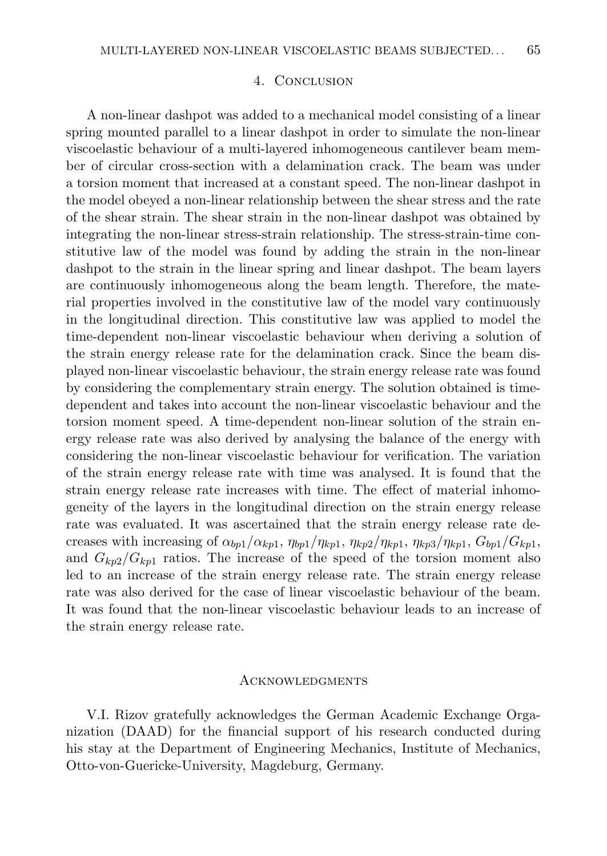# 4. Conclusion

A non-linear dashpot was added to a mechanical model consisting of a linear spring mounted parallel to a linear dashpot in order to simulate the non-linear viscoelastic behaviour of a multi-layered inhomogeneous cantilever beam member of circular cross-section with a delamination crack. The beam was under a torsion moment that increased at a constant speed. The non-linear dashpot in the model obeyed a non-linear relationship between the shear stress and the rate of the shear strain. The shear strain in the non-linear dashpot was obtained by integrating the non-linear stress-strain relationship. The stress-strain-time constitutive law of the model was found by adding the strain in the non-linear dashpot to the strain in the linear spring and linear dashpot. The beam layers are continuously inhomogeneous along the beam length. Therefore, the material properties involved in the constitutive law of the model vary continuously in the longitudinal direction. This constitutive law was applied to model the time-dependent non-linear viscoelastic behaviour when deriving a solution of the strain energy release rate for the delamination crack. Since the beam displayed non-linear viscoelastic behaviour, the strain energy release rate was found by considering the complementary strain energy. The solution obtained is timedependent and takes into account the non-linear viscoelastic behaviour and the torsion moment speed. A time-dependent non-linear solution of the strain energy release rate was also derived by analysing the balance of the energy with considering the non-linear viscoelastic behaviour for verification. The variation of the strain energy release rate with time was analysed. It is found that the strain energy release rate increases with time. The effect of material inhomogeneity of the layers in the longitudinal direction on the strain energy release rate was evaluated. It was ascertained that the strain energy release rate decreases with increasing of  $\alpha_{bp1}/\alpha_{kp1}$ ,  $\eta_{bp1}/\eta_{kp1}$ ,  $\eta_{kp2}/\eta_{kp1}$ ,  $\eta_{kp3}/\eta_{kp1}$ ,  $G_{bp1}/G_{kp1}$ , and  $G_{kp2}/G_{kp1}$  ratios. The increase of the speed of the torsion moment also led to an increase of the strain energy release rate. The strain energy release rate was also derived for the case of linear viscoelastic behaviour of the beam. It was found that the non-linear viscoelastic behaviour leads to an increase of the strain energy release rate.

### **ACKNOWLEDGMENTS**

V.I. Rizov gratefully acknowledges the German Academic Exchange Organization (DAAD) for the financial support of his research conducted during his stay at the Department of Engineering Mechanics, Institute of Mechanics, Otto-von-Guericke-University, Magdeburg, Germany.